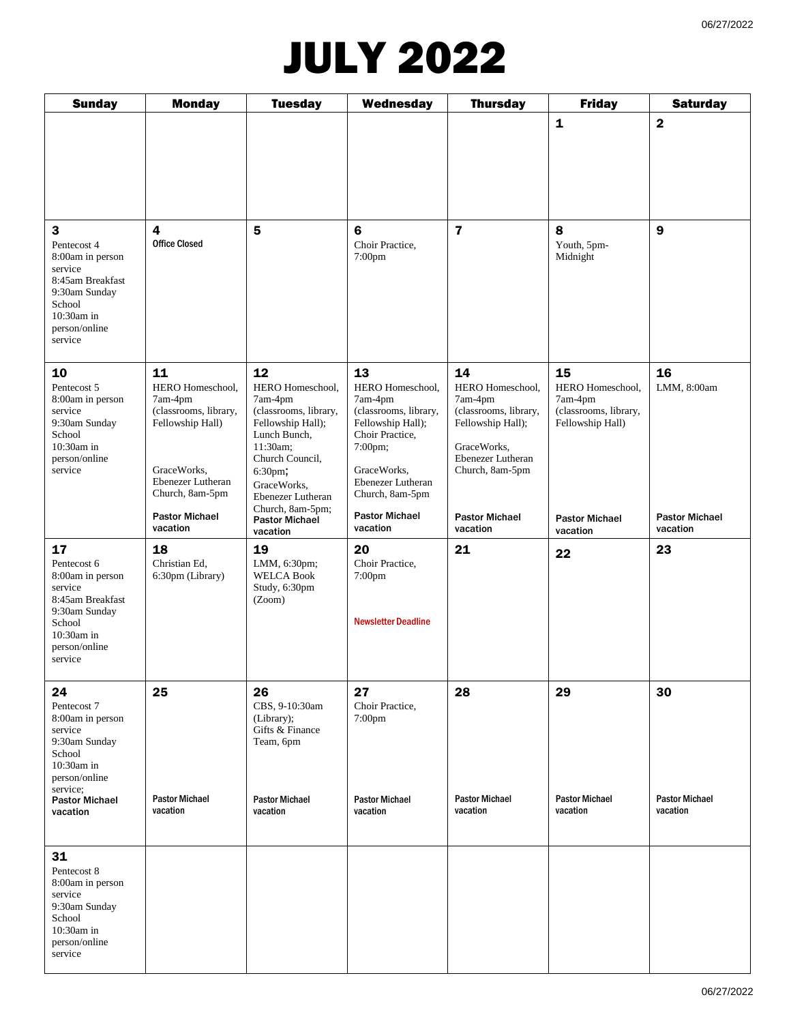### JULY 2022

| <b>Sunday</b>                                                                                                                                                 | <b>Monday</b>                                                                                                                                                              | <b>Tuesday</b>                                                                                                                                                                                                                         | Wednesday                                                                                                                                                                                                 | <b>Thursday</b>                                                                                                                                                             | <b>Friday</b>                                                                                                       | <b>Saturday</b>                                        |
|---------------------------------------------------------------------------------------------------------------------------------------------------------------|----------------------------------------------------------------------------------------------------------------------------------------------------------------------------|----------------------------------------------------------------------------------------------------------------------------------------------------------------------------------------------------------------------------------------|-----------------------------------------------------------------------------------------------------------------------------------------------------------------------------------------------------------|-----------------------------------------------------------------------------------------------------------------------------------------------------------------------------|---------------------------------------------------------------------------------------------------------------------|--------------------------------------------------------|
|                                                                                                                                                               |                                                                                                                                                                            |                                                                                                                                                                                                                                        |                                                                                                                                                                                                           |                                                                                                                                                                             | $\mathbf{1}$                                                                                                        | $\mathbf{2}$                                           |
| 3<br>Pentecost 4<br>8:00am in person<br>service<br>8:45am Breakfast<br>9:30am Sunday<br>School<br>10:30am in<br>person/online<br>service                      | $\overline{\mathbf{4}}$<br><b>Office Closed</b>                                                                                                                            | 5                                                                                                                                                                                                                                      | $6\phantom{1}$<br>Choir Practice,<br>7:00 <sub>pm</sub>                                                                                                                                                   | $\overline{7}$                                                                                                                                                              | 8<br>Youth, 5pm-<br>Midnight                                                                                        | $\boldsymbol{9}$                                       |
| 10<br>Pentecost 5<br>8:00am in person<br>service<br>9:30am Sunday<br>School<br>$10:30am$ in<br>person/online<br>service                                       | 11<br>HERO Homeschool,<br>7am-4pm<br>(classrooms, library,<br>Fellowship Hall)<br>GraceWorks.<br>Ebenezer Lutheran<br>Church, 8am-5pm<br><b>Pastor Michael</b><br>vacation | 12<br>HERO Homeschool,<br>7am-4pm<br>(classrooms, library,<br>Fellowship Hall);<br>Lunch Bunch,<br>11:30am;<br>Church Council,<br>6:30pm,<br>GraceWorks,<br>Ebenezer Lutheran<br>Church, 8am-5pm;<br><b>Pastor Michael</b><br>vacation | 13<br>HERO Homeschool,<br>7am-4pm<br>(classrooms, library,<br>Fellowship Hall);<br>Choir Practice,<br>7:00pm;<br>GraceWorks,<br>Ebenezer Lutheran<br>Church, 8am-5pm<br><b>Pastor Michael</b><br>vacation | 14<br>HERO Homeschool,<br>7am-4pm<br>(classrooms, library,<br>Fellowship Hall);<br>GraceWorks.<br>Ebenezer Lutheran<br>Church, 8am-5pm<br><b>Pastor Michael</b><br>vacation | 15<br>HERO Homeschool,<br>7am-4pm<br>(classrooms, library,<br>Fellowship Hall)<br><b>Pastor Michael</b><br>vacation | 16<br>LMM, 8:00am<br><b>Pastor Michael</b><br>vacation |
| 17<br>Pentecost 6<br>8:00am in person<br>service<br>8:45am Breakfast<br>9:30am Sunday<br>School<br>10:30am in<br>person/online<br>service                     | 18<br>Christian Ed,<br>6:30pm (Library)                                                                                                                                    | 19<br>LMM, 6:30pm;<br><b>WELCA Book</b><br>Study, 6:30pm<br>(Zoom)                                                                                                                                                                     | 20<br>Choir Practice,<br>7:00pm<br><b>Newsletter Deadline</b>                                                                                                                                             | 21                                                                                                                                                                          | 22                                                                                                                  | 23                                                     |
| 24<br>Pentecost 7<br>8:00am in person<br>service<br>9:30am Sunday<br>School<br>$10:30am$ in<br>person/online<br>service;<br><b>Pastor Michael</b><br>vacation | 25<br><b>Pastor Michael</b><br>vacation                                                                                                                                    | 26<br>CBS, 9-10:30am<br>(Library);<br>Gifts & Finance<br>Team, 6pm<br><b>Pastor Michael</b><br>vacation                                                                                                                                | 27<br>Choir Practice,<br>$7:00$ pm<br><b>Pastor Michael</b><br>vacation                                                                                                                                   | 28<br><b>Pastor Michael</b><br>vacation                                                                                                                                     | 29<br><b>Pastor Michael</b><br>vacation                                                                             | 30<br><b>Pastor Michael</b><br>vacation                |
| 31<br>Pentecost 8<br>8:00am in person<br>service<br>9:30am Sunday<br>School<br>10:30am in<br>person/online<br>service                                         |                                                                                                                                                                            |                                                                                                                                                                                                                                        |                                                                                                                                                                                                           |                                                                                                                                                                             |                                                                                                                     |                                                        |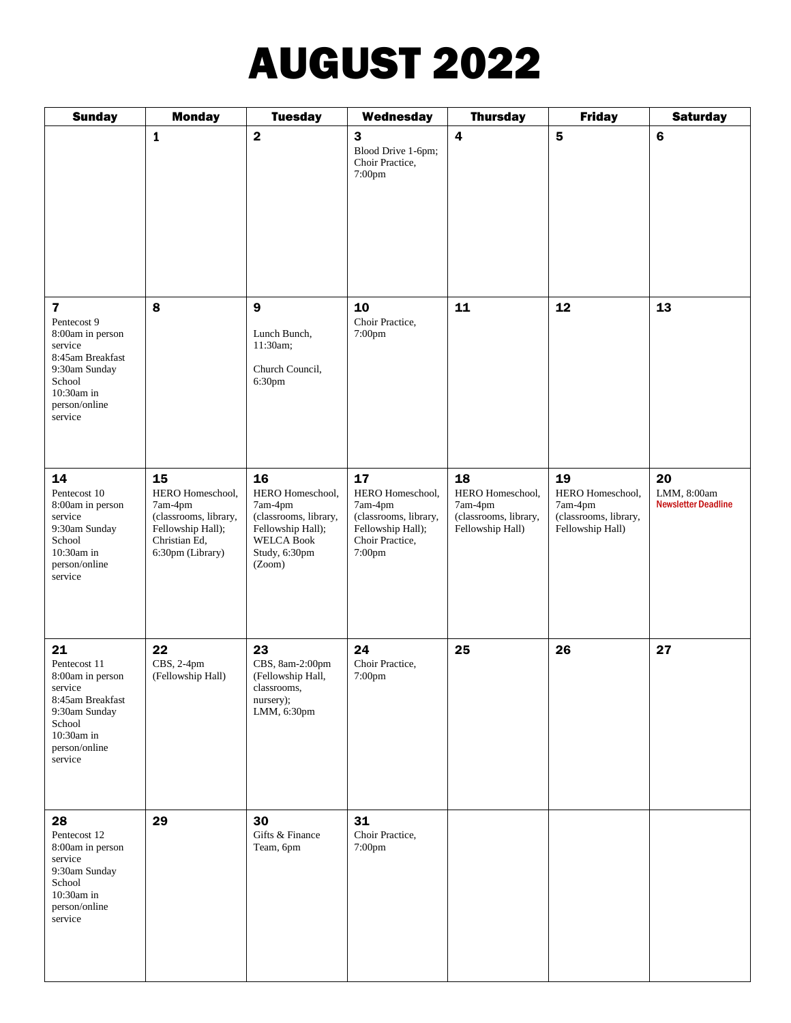# AUGUST 2022

| <b>Sunday</b>                                                                                                                                                  | <b>Monday</b>                                                                                                        | <b>Tuesday</b>                                                                                                                  | Wednesday                                                                                                    | <b>Thursday</b>                                                                | <b>Friday</b>                                                                  | <b>Saturday</b>                                 |
|----------------------------------------------------------------------------------------------------------------------------------------------------------------|----------------------------------------------------------------------------------------------------------------------|---------------------------------------------------------------------------------------------------------------------------------|--------------------------------------------------------------------------------------------------------------|--------------------------------------------------------------------------------|--------------------------------------------------------------------------------|-------------------------------------------------|
|                                                                                                                                                                | $\mathbf{1}$                                                                                                         | $\overline{\mathbf{2}}$                                                                                                         | 3<br>Blood Drive 1-6pm;<br>Choir Practice,<br>7:00pm                                                         | $\overline{\mathbf{4}}$                                                        | $5\phantom{.0}$                                                                | $\bf 6$                                         |
| $\overline{\mathbf{z}}$<br>Pentecost 9<br>8:00am in person<br>service<br>8:45am Breakfast<br>9:30am Sunday<br>School<br>10:30am in<br>person/online<br>service | 8                                                                                                                    | $\boldsymbol{9}$<br>Lunch Bunch,<br>11:30am;<br>Church Council,<br>6:30pm                                                       | 10<br>Choir Practice,<br>7:00pm                                                                              | 11                                                                             | 12                                                                             | 13                                              |
| 14<br>Pentecost 10<br>8:00am in person<br>service<br>9:30am Sunday<br>School<br>$10:30am$ in<br>person/online<br>service                                       | 15<br>HERO Homeschool,<br>7am-4pm<br>(classrooms, library,<br>Fellowship Hall);<br>Christian Ed,<br>6:30pm (Library) | 16<br>HERO Homeschool,<br>7am-4pm<br>(classrooms, library,<br>Fellowship Hall);<br><b>WELCA Book</b><br>Study, 6:30pm<br>(Zoom) | 17<br>HERO Homeschool,<br>7am-4pm<br>(classrooms, library,<br>Fellowship Hall);<br>Choir Practice,<br>7:00pm | 18<br>HERO Homeschool,<br>7am-4pm<br>(classrooms, library,<br>Fellowship Hall) | 19<br>HERO Homeschool,<br>7am-4pm<br>(classrooms, library,<br>Fellowship Hall) | 20<br>LMM, 8:00am<br><b>Newsletter Deadline</b> |
| 21<br>Pentecost 11<br>8:00am in person<br>service<br>8:45am Breakfast<br>9:30am Sunday<br>School<br>10:30am in<br>person/online<br>service                     | 22<br>CBS, 2-4pm<br>(Fellowship Hall)                                                                                | 23<br>CBS, 8am-2:00pm<br>(Fellowship Hall,<br>classrooms,<br>nursery);<br>LMM, 6:30pm                                           | 24<br>Choir Practice,<br>7:00pm                                                                              | 25                                                                             | 26                                                                             | 27                                              |
| 28<br>Pentecost 12<br>8:00am in person<br>service<br>9:30am Sunday<br>School<br>$10:30am$ in<br>person/online<br>service                                       | 29                                                                                                                   | 30<br>Gifts & Finance<br>Team, 6pm                                                                                              | 31<br>Choir Practice,<br>7:00pm                                                                              |                                                                                |                                                                                |                                                 |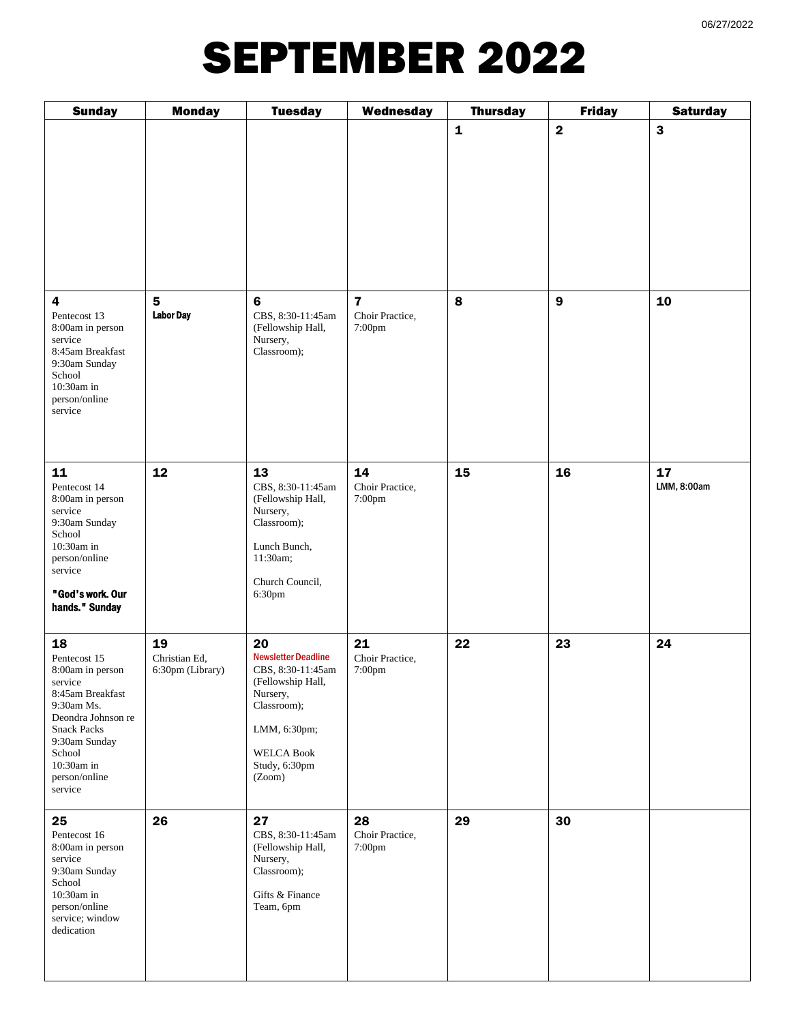### SEPTEMBER 2022

| <b>Sunday</b>                                                                                                                                                                                        | <b>Monday</b>                           | <b>Tuesday</b>                                                                                                                                                        | Wednesday                                            | <b>Thursday</b> | <b>Friday</b>    | <b>Saturday</b>   |
|------------------------------------------------------------------------------------------------------------------------------------------------------------------------------------------------------|-----------------------------------------|-----------------------------------------------------------------------------------------------------------------------------------------------------------------------|------------------------------------------------------|-----------------|------------------|-------------------|
|                                                                                                                                                                                                      |                                         |                                                                                                                                                                       |                                                      | $\mathbf 1$     | $\mathbf{2}$     | 3                 |
| 4<br>Pentecost 13<br>8:00am in person<br>service<br>8:45am Breakfast<br>9:30am Sunday<br>School<br>10:30am in<br>person/online<br>service                                                            | $5\phantom{.0}$<br><b>Labor Day</b>     | $\bf 6$<br>CBS, 8:30-11:45am<br>(Fellowship Hall,<br>Nursery,<br>Classroom);                                                                                          | $\overline{\mathbf{z}}$<br>Choir Practice,<br>7:00pm | 8               | $\boldsymbol{9}$ | 10                |
| 11<br>Pentecost 14<br>8:00am in person<br>service<br>9:30am Sunday<br>School<br>10:30am in<br>person/online<br>service<br>"God's work. Our<br>hands." Sunday                                         | 12                                      | 13<br>CBS, 8:30-11:45am<br>(Fellowship Hall,<br>Nursery,<br>Classroom);<br>Lunch Bunch,<br>11:30am;<br>Church Council,<br>6:30pm                                      | 14<br>Choir Practice,<br>7:00pm                      | 15              | 16               | 17<br>LMM, 8:00am |
| 18<br>Pentecost 15<br>8:00am in person<br>service<br>8:45am Breakfast<br>9:30am Ms.<br>Deondra Johnson re<br><b>Snack Packs</b><br>9:30am Sunday<br>School<br>10:30am in<br>person/online<br>service | 19<br>Christian Ed,<br>6:30pm (Library) | 20<br><b>Newsletter Deadline</b><br>CBS, 8:30-11:45am<br>(Fellowship Hall,<br>Nursery,<br>Classroom);<br>LMM, 6:30pm;<br><b>WELCA Book</b><br>Study, 6:30pm<br>(Zoom) | 21<br>Choir Practice,<br>7:00pm                      | 22              | 23               | 24                |
| 25<br>Pentecost 16<br>8:00am in person<br>service<br>9:30am Sunday<br>School<br>$10:30$ am in<br>person/online<br>service; window<br>dedication                                                      | 26                                      | 27<br>CBS, 8:30-11:45am<br>(Fellowship Hall,<br>Nursery,<br>Classroom);<br>Gifts & Finance<br>Team, 6pm                                                               | 28<br>Choir Practice,<br>7:00pm                      | 29              | 30               |                   |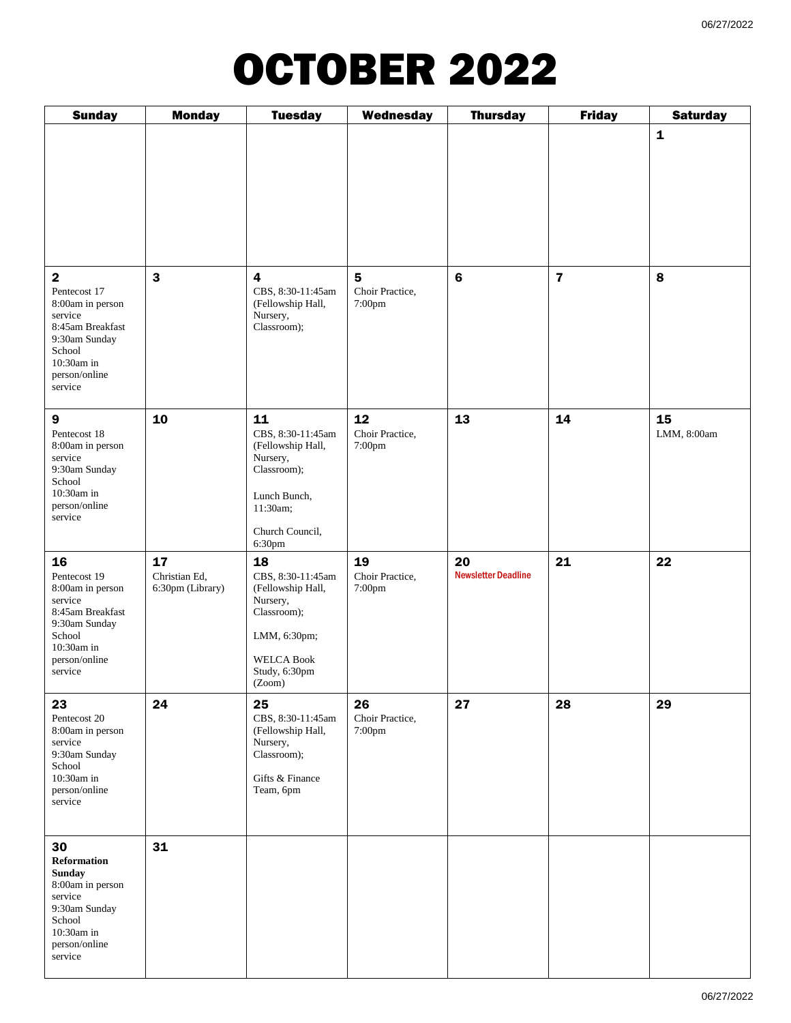#### OCTOBER 2022

| <b>Sunday</b>                                                                                                                                                     | <b>Monday</b>                           | <b>Tuesday</b>                                                                                                                          | Wednesday                                            | <b>Thursday</b>                  | <b>Friday</b>           | <b>Saturday</b>   |
|-------------------------------------------------------------------------------------------------------------------------------------------------------------------|-----------------------------------------|-----------------------------------------------------------------------------------------------------------------------------------------|------------------------------------------------------|----------------------------------|-------------------------|-------------------|
|                                                                                                                                                                   |                                         |                                                                                                                                         |                                                      |                                  |                         | $\mathbf{1}$      |
| $\overline{\mathbf{2}}$<br>Pentecost 17<br>8:00am in person<br>service<br>8:45am Breakfast<br>9:30am Sunday<br>School<br>$10:30am$ in<br>person/online<br>service | 3                                       | $\overline{4}$<br>CBS, 8:30-11:45am<br>(Fellowship Hall,<br>Nursery,<br>Classroom);                                                     | $\overline{\mathbf{5}}$<br>Choir Practice,<br>7:00pm | $\bf 6$                          | $\overline{\mathbf{z}}$ | 8                 |
| $\boldsymbol{9}$<br>Pentecost 18<br>8:00am in person<br>service<br>9:30am Sunday<br>School<br>10:30am in<br>person/online<br>service                              | 10                                      | 11<br>CBS, 8:30-11:45am<br>(Fellowship Hall,<br>Nursery,<br>Classroom);<br>Lunch Bunch,<br>11:30am;<br>Church Council,<br>6:30pm        | 12<br>Choir Practice,<br>7:00pm                      | 13                               | 14                      | 15<br>LMM, 8:00am |
| 16<br>Pentecost 19<br>8:00am in person<br>service<br>8:45am Breakfast<br>9:30am Sunday<br>School<br>$10:30am$ in<br>person/online<br>service                      | 17<br>Christian Ed,<br>6:30pm (Library) | 18<br>CBS, 8:30-11:45am<br>(Fellowship Hall,<br>Nursery,<br>Classroom);<br>LMM, 6:30pm;<br><b>WELCA Book</b><br>Study, 6:30pm<br>(Zoom) | 19<br>Choir Practice,<br>7:00pm                      | 20<br><b>Newsletter Deadline</b> | 21                      | 22                |
| 23<br>Pentecost 20<br>8:00am in person<br>service<br>9:30am Sunday<br>School<br>10:30am in<br>person/online<br>service                                            | 24                                      | 25<br>CBS, 8:30-11:45am<br>(Fellowship Hall,<br>Nursery,<br>Classroom);<br>Gifts & Finance<br>Team, 6pm                                 | 26<br>Choir Practice,<br>7:00pm                      | 27                               | 28                      | 29                |
| 30<br>Reformation<br><b>Sunday</b><br>8:00am in person<br>service<br>9:30am Sunday<br>School<br>$10:30$ am in<br>person/online<br>service                         | 31                                      |                                                                                                                                         |                                                      |                                  |                         |                   |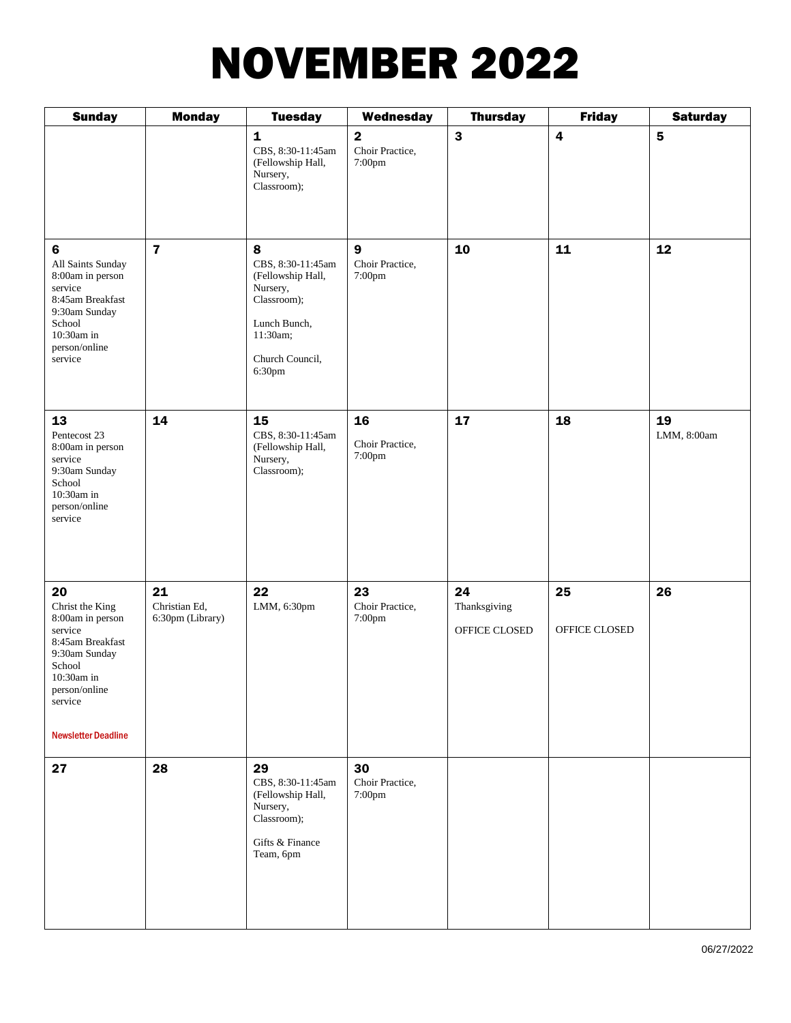# NOVEMBER 2022

| <b>Sunday</b>                                                                                                                                                               | <b>Monday</b>                           | <b>Tuesday</b>                                                                                                                  | Wednesday                                            | <b>Thursday</b>                     | <b>Friday</b>           | <b>Saturday</b>         |
|-----------------------------------------------------------------------------------------------------------------------------------------------------------------------------|-----------------------------------------|---------------------------------------------------------------------------------------------------------------------------------|------------------------------------------------------|-------------------------------------|-------------------------|-------------------------|
|                                                                                                                                                                             |                                         | $\mathbf{1}$<br>CBS, 8:30-11:45am<br>(Fellowship Hall,<br>Nursery,<br>Classroom);                                               | $\overline{\mathbf{2}}$<br>Choir Practice,<br>7:00pm | $\mathbf{3}$                        | $\overline{\mathbf{4}}$ | $\overline{\mathbf{5}}$ |
| $6\phantom{a}$<br>All Saints Sunday<br>8:00am in person<br>service<br>8:45am Breakfast<br>9:30am Sunday<br>School<br>10:30am in<br>person/online<br>service                 | $\overline{\mathbf{z}}$                 | 8<br>CBS, 8:30-11:45am<br>(Fellowship Hall,<br>Nursery,<br>Classroom);<br>Lunch Bunch,<br>11:30am;<br>Church Council,<br>6:30pm | 9<br>Choir Practice,<br>7:00pm                       | 10                                  | 11                      | 12                      |
| 13<br>Pentecost 23<br>8:00am in person<br>service<br>9:30am Sunday<br>School<br>10:30am in<br>person/online<br>service                                                      | 14                                      | 15<br>CBS, 8:30-11:45am<br>(Fellowship Hall,<br>Nursery,<br>Classroom);                                                         | 16<br>Choir Practice,<br>7:00pm                      | 17                                  | 18                      | 19<br>LMM, 8:00am       |
| 20<br>Christ the King<br>8:00am in person<br>service<br>8:45am Breakfast<br>9:30am Sunday<br>School<br>10:30am in<br>person/online<br>service<br><b>Newsletter Deadline</b> | 21<br>Christian Ed,<br>6:30pm (Library) | 22<br>LMM, 6:30pm                                                                                                               | 23<br>Choir Practice,<br>7:00pm                      | 24<br>Thanksgiving<br>OFFICE CLOSED | 25<br>OFFICE CLOSED     | 26                      |
| 27                                                                                                                                                                          | 28                                      | 29<br>CBS, 8:30-11:45am<br>(Fellowship Hall,<br>Nursery,<br>Classroom);<br>Gifts & Finance<br>Team, 6pm                         | 30<br>Choir Practice,<br>7:00pm                      |                                     |                         |                         |